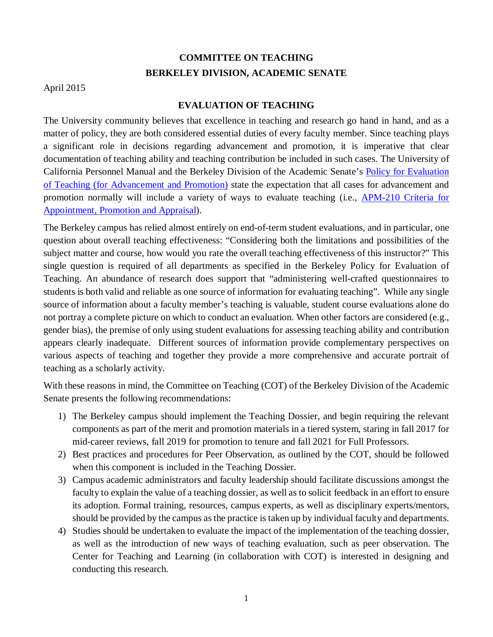## **COMMITTEE ON TEACHING BERKELEY DIVISION, ACADEMIC SENATE**

April 2015

#### **EVALUATION OF TEACHING**

The University community believes that excellence in teaching and research go hand in hand, and as a matter of policy, they are both considered essential duties of every faculty member. Since teaching plays a significant role in decisions regarding advancement and promotion, it is imperative that clear documentation of teaching ability and teaching contribution be included in such cases. The University of California Personnel Manual and the Berkeley Division of the Academic Senate's [Policy for Evaluation](http://teaching.berkeley.edu/sites/teaching.berkeley.edu/files/Policy_TchgEval_1987.pdf)  [of Teaching \(for Advancement and Promotion\)](http://teaching.berkeley.edu/sites/teaching.berkeley.edu/files/Policy_TchgEval_1987.pdf) state the expectation that all cases for advancement and promotion normally will include a variety of ways to evaluate teaching (i.e., [APM-210 Criteria for](http://www.ucop.edu/academic-personnel/_files/apm/apm-210.pdf)  [Appointment, Promotion and Appraisal\)](http://www.ucop.edu/academic-personnel/_files/apm/apm-210.pdf).

The Berkeley campus has relied almost entirely on end-of-term student evaluations, and in particular, one question about overall teaching effectiveness: "Considering both the limitations and possibilities of the subject matter and course, how would you rate the overall teaching effectiveness of this instructor?" This single question is required of all departments as specified in the Berkeley Policy for Evaluation of Teaching. An abundance of research does support that "administering well-crafted questionnaires to students is both valid and reliable as one source of information for evaluating teaching". While any single source of information about a faculty member's teaching is valuable, student course evaluations alone do not portray a complete picture on which to conduct an evaluation. When other factors are considered (e.g., gender bias), the premise of only using student evaluations for assessing teaching ability and contribution appears clearly inadequate. Different sources of information provide complementary perspectives on various aspects of teaching and together they provide a more comprehensive and accurate portrait of teaching as a scholarly activity.

With these reasons in mind, the Committee on Teaching (COT) of the Berkeley Division of the Academic Senate presents the following recommendations:

- 1) The Berkeley campus should implement the Teaching Dossier, and begin requiring the relevant components as part of the merit and promotion materials in a tiered system, staring in fall 2017 for mid-career reviews, fall 2019 for promotion to tenure and fall 2021 for Full Professors.
- 2) Best practices and procedures for Peer Observation, as outlined by the COT, should be followed when this component is included in the Teaching Dossier.
- 3) Campus academic administrators and faculty leadership should facilitate discussions amongst the faculty to explain the value of a teaching dossier, as well as to solicit feedback in an effort to ensure its adoption. Formal training, resources, campus experts, as well as disciplinary experts/mentors, should be provided by the campus as the practice is taken up by individual faculty and departments.
- 4) Studies should be undertaken to evaluate the impact of the implementation of the teaching dossier, as well as the introduction of new ways of teaching evaluation, such as peer observation. The Center for Teaching and Learning (in collaboration with COT) is interested in designing and conducting this research.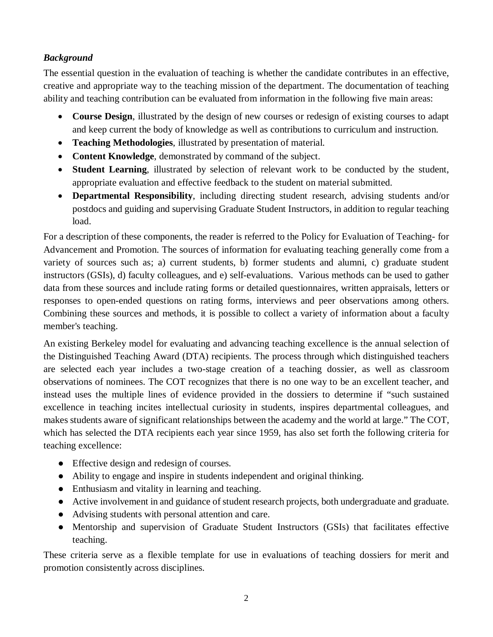## *Background*

The essential question in the evaluation of teaching is whether the candidate contributes in an effective, creative and appropriate way to the teaching mission of the department. The documentation of teaching ability and teaching contribution can be evaluated from information in the following five main areas:

- **Course Design**, illustrated by the design of new courses or redesign of existing courses to adapt and keep current the body of knowledge as well as contributions to curriculum and instruction.
- **Teaching Methodologies**, illustrated by presentation of material.
- **Content Knowledge**, demonstrated by command of the subject.
- **Student Learning**, illustrated by selection of relevant work to be conducted by the student, appropriate evaluation and effective feedback to the student on material submitted.
- **Departmental Responsibility**, including directing student research, advising students and/or postdocs and guiding and supervising Graduate Student Instructors, in addition to regular teaching load.

For a description of these components, the reader is referred to the Policy for Evaluation of Teaching- for Advancement and Promotion. The sources of information for evaluating teaching generally come from a variety of sources such as; a) current students, b) former students and alumni, c) graduate student instructors (GSIs), d) faculty colleagues, and e) self-evaluations. Various methods can be used to gather data from these sources and include rating forms or detailed questionnaires, written appraisals, letters or responses to open-ended questions on rating forms, interviews and peer observations among others. Combining these sources and methods, it is possible to collect a variety of information about a faculty member's teaching.

An existing Berkeley model for evaluating and advancing teaching excellence is the annual selection of the Distinguished Teaching Award (DTA) recipients. The process through which distinguished teachers are selected each year includes a two-stage creation of a teaching dossier, as well as classroom observations of nominees. The COT recognizes that there is no one way to be an excellent teacher, and instead uses the multiple lines of evidence provided in the dossiers to determine if "such sustained excellence in teaching incites intellectual curiosity in students, inspires departmental colleagues, and makes students aware of significant relationships between the academy and the world at large." The COT, which has selected the DTA recipients each year since 1959, has also set forth the following criteria for teaching excellence:

- Effective design and redesign of courses.
- Ability to engage and inspire in students independent and original thinking.
- Enthusiasm and vitality in learning and teaching.
- Active involvement in and guidance of student research projects, both undergraduate and graduate.
- Advising students with personal attention and care.
- Mentorship and supervision of Graduate Student Instructors (GSIs) that facilitates effective teaching.

These criteria serve as a flexible template for use in evaluations of teaching dossiers for merit and promotion consistently across disciplines.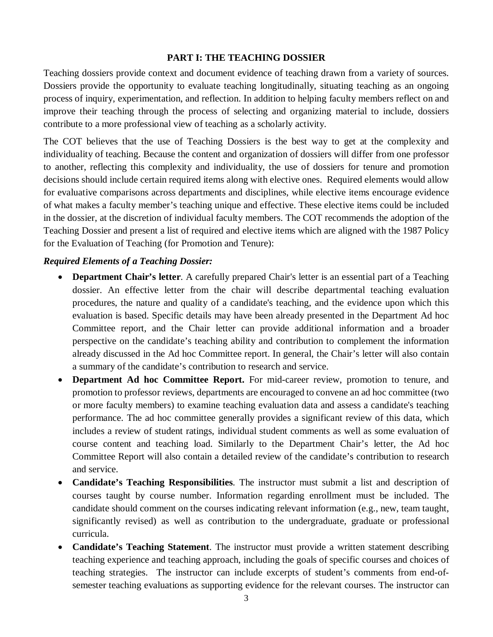#### **PART I: THE TEACHING DOSSIER**

Teaching dossiers provide context and document evidence of teaching drawn from a variety of sources. Dossiers provide the opportunity to evaluate teaching longitudinally, situating teaching as an ongoing process of inquiry, experimentation, and reflection. In addition to helping faculty members reflect on and improve their teaching through the process of selecting and organizing material to include, dossiers contribute to a more professional view of teaching as a scholarly activity.

The COT believes that the use of Teaching Dossiers is the best way to get at the complexity and individuality of teaching. Because the content and organization of dossiers will differ from one professor to another, reflecting this complexity and individuality, the use of dossiers for tenure and promotion decisions should include certain required items along with elective ones. Required elements would allow for evaluative comparisons across departments and disciplines, while elective items encourage evidence of what makes a faculty member's teaching unique and effective. These elective items could be included in the dossier, at the discretion of individual faculty members. The COT recommends the adoption of the Teaching Dossier and present a list of required and elective items which are aligned with the 1987 Policy for the Evaluation of Teaching (for Promotion and Tenure):

#### *Required Elements of a Teaching Dossier:*

- **Department Chair's letter**. A carefully prepared Chair's letter is an essential part of a Teaching dossier. An effective letter from the chair will describe departmental teaching evaluation procedures, the nature and quality of a candidate's teaching, and the evidence upon which this evaluation is based. Specific details may have been already presented in the Department Ad hoc Committee report, and the Chair letter can provide additional information and a broader perspective on the candidate's teaching ability and contribution to complement the information already discussed in the Ad hoc Committee report. In general, the Chair's letter will also contain a summary of the candidate's contribution to research and service.
- **Department Ad hoc Committee Report.** For mid-career review, promotion to tenure, and promotion to professor reviews, departments are encouraged to convene an ad hoc committee (two or more faculty members) to examine teaching evaluation data and assess a candidate's teaching performance. The ad hoc committee generally provides a significant review of this data, which includes a review of student ratings, individual student comments as well as some evaluation of course content and teaching load. Similarly to the Department Chair's letter, the Ad hoc Committee Report will also contain a detailed review of the candidate's contribution to research and service.
- **Candidate's Teaching Responsibilities**. The instructor must submit a list and description of courses taught by course number. Information regarding enrollment must be included. The candidate should comment on the courses indicating relevant information (e.g., new, team taught, significantly revised) as well as contribution to the undergraduate, graduate or professional curricula.
- **Candidate's Teaching Statement**. The instructor must provide a written statement describing teaching experience and teaching approach, including the goals of specific courses and choices of teaching strategies. The instructor can include excerpts of student's comments from end-ofsemester teaching evaluations as supporting evidence for the relevant courses. The instructor can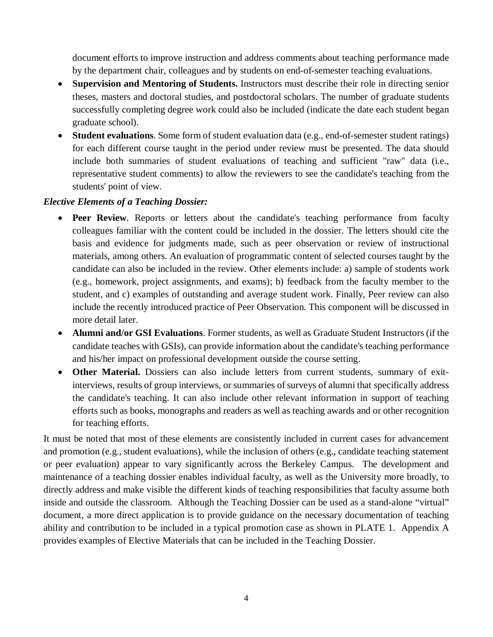document efforts to improve instruction and address comments about teaching performance made by the department chair, colleagues and by students on end-of-semester teaching evaluations.

- **Supervision and Mentoring of Students.** Instructors must describe their role in directing senior theses, masters and doctoral studies, and postdoctoral scholars. The number of graduate students successfully completing degree work could also be included (indicate the date each student began graduate school).
- **Student evaluations**. Some form of student evaluation data (e.g., end-of-semester student ratings) for each different course taught in the period under review must be presented. The data should include both summaries of student evaluations of teaching and sufficient "raw" data (i.e., representative student comments) to allow the reviewers to see the candidate's teaching from the students' point of view.

#### *Elective Elements of a Teaching Dossier:*

- **Peer Review**. Reports or letters about the candidate's teaching performance from faculty colleagues familiar with the content could be included in the dossier. The letters should cite the basis and evidence for judgments made, such as peer observation or review of instructional materials, among others. An evaluation of programmatic content of selected courses taught by the candidate can also be included in the review. Other elements include: a) sample of students work (e.g., homework, project assignments, and exams); b) feedback from the faculty member to the student, and c) examples of outstanding and average student work. Finally, Peer review can also include the recently introduced practice of Peer Observation. This component will be discussed in more detail later.
- **Alumni and/or GSI Evaluations**. Former students, as well as Graduate Student Instructors (if the candidate teaches with GSIs), can provide information about the candidate's teaching performance and his/her impact on professional development outside the course setting.
- **Other Material.** Dossiers can also include letters from current students, summary of exitinterviews, results of group interviews, or summaries of surveys of alumni that specifically address the candidate's teaching. It can also include other relevant information in support of teaching efforts such as books, monographs and readers as well as teaching awards and or other recognition for teaching efforts.

It must be noted that most of these elements are consistently included in current cases for advancement and promotion (e.g., student evaluations), while the inclusion of others (e.g., candidate teaching statement or peer evaluation) appear to vary significantly across the Berkeley Campus. The development and maintenance of a teaching dossier enables individual faculty, as well as the University more broadly, to directly address and make visible the different kinds of teaching responsibilities that faculty assume both inside and outside the classroom. Although the Teaching Dossier can be used as a stand-alone "virtual" document, a more direct application is to provide guidance on the necessary documentation of teaching ability and contribution to be included in a typical promotion case as shown in PLATE 1. Appendix A provides examples of Elective Materials that can be included in the Teaching Dossier.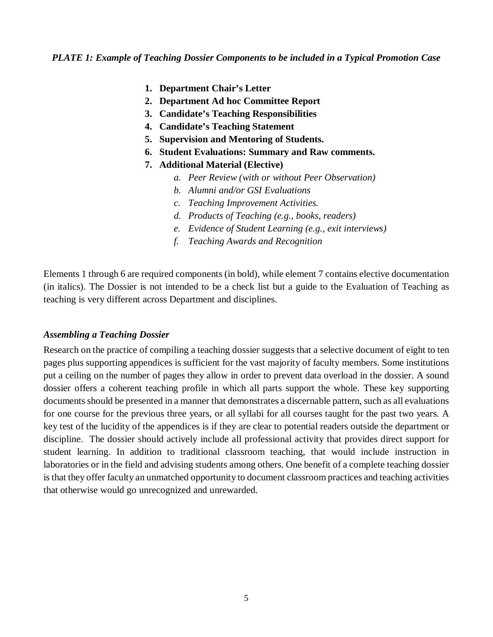#### *PLATE 1: Example of Teaching Dossier Components to be included in a Typical Promotion Case*

- **1. Department Chair's Letter**
- **2. Department Ad hoc Committee Report**
- **3. Candidate's Teaching Responsibilities**
- **4. Candidate's Teaching Statement**
- **5. Supervision and Mentoring of Students.**
- **6. Student Evaluations: Summary and Raw comments.**
- **7. Additional Material (Elective)**
	- *a. Peer Review (with or without Peer Observation)*
	- *b. Alumni and/or GSI Evaluations*
	- *c. Teaching Improvement Activities.*
	- *d. Products of Teaching (e.g., books, readers)*
	- *e. Evidence of Student Learning (e.g., exit interviews)*
	- *f. Teaching Awards and Recognition*

Elements 1 through 6 are required components (in bold), while element 7 contains elective documentation (in italics). The Dossier is not intended to be a check list but a guide to the Evaluation of Teaching as teaching is very different across Department and disciplines.

#### *Assembling a Teaching Dossier*

Research on the practice of compiling a teaching dossier suggests that a selective document of eight to ten pages plus supporting appendices is sufficient for the vast majority of faculty members. Some institutions put a ceiling on the number of pages they allow in order to prevent data overload in the dossier. A sound dossier offers a coherent teaching profile in which all parts support the whole. These key supporting documents should be presented in a manner that demonstrates a discernable pattern, such as all evaluations for one course for the previous three years, or all syllabi for all courses taught for the past two years. A key test of the lucidity of the appendices is if they are clear to potential readers outside the department or discipline. The dossier should actively include all professional activity that provides direct support for student learning. In addition to traditional classroom teaching, that would include instruction in laboratories or in the field and advising students among others. One benefit of a complete teaching dossier is that they offer faculty an unmatched opportunity to document classroom practices and teaching activities that otherwise would go unrecognized and unrewarded.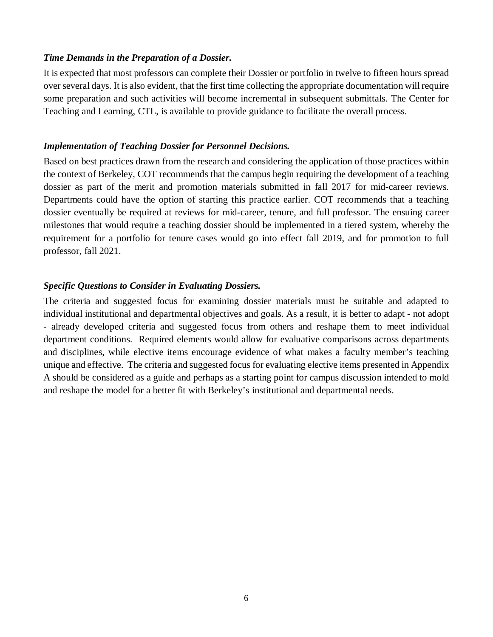#### *Time Demands in the Preparation of a Dossier.*

It is expected that most professors can complete their Dossier or portfolio in twelve to fifteen hours spread over several days. It is also evident, that the first time collecting the appropriate documentation will require some preparation and such activities will become incremental in subsequent submittals. The Center for Teaching and Learning, CTL, is available to provide guidance to facilitate the overall process.

#### *Implementation of Teaching Dossier for Personnel Decisions.*

Based on best practices drawn from the research and considering the application of those practices within the context of Berkeley, COT recommends that the campus begin requiring the development of a teaching dossier as part of the merit and promotion materials submitted in fall 2017 for mid-career reviews. Departments could have the option of starting this practice earlier. COT recommends that a teaching dossier eventually be required at reviews for mid-career, tenure, and full professor. The ensuing career milestones that would require a teaching dossier should be implemented in a tiered system, whereby the requirement for a portfolio for tenure cases would go into effect fall 2019, and for promotion to full professor, fall 2021.

#### *Specific Questions to Consider in Evaluating Dossiers.*

The criteria and suggested focus for examining dossier materials must be suitable and adapted to individual institutional and departmental objectives and goals. As a result, it is better to adapt - not adopt - already developed criteria and suggested focus from others and reshape them to meet individual department conditions. Required elements would allow for evaluative comparisons across departments and disciplines, while elective items encourage evidence of what makes a faculty member's teaching unique and effective. The criteria and suggested focus for evaluating elective items presented in Appendix A should be considered as a guide and perhaps as a starting point for campus discussion intended to mold and reshape the model for a better fit with Berkeley's institutional and departmental needs.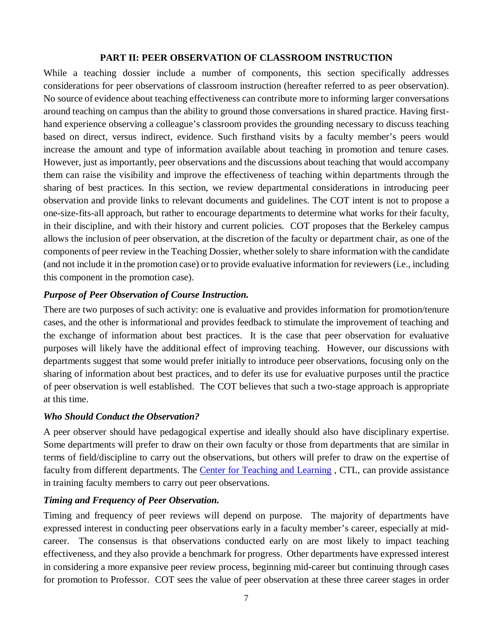#### **PART II: PEER OBSERVATION OF CLASSROOM INSTRUCTION**

While a teaching dossier include a number of components, this section specifically addresses considerations for peer observations of classroom instruction (hereafter referred to as peer observation). No source of evidence about teaching effectiveness can contribute more to informing larger conversations around teaching on campus than the ability to ground those conversations in shared practice. Having firsthand experience observing a colleague's classroom provides the grounding necessary to discuss teaching based on direct, versus indirect, evidence. Such firsthand visits by a faculty member's peers would increase the amount and type of information available about teaching in promotion and tenure cases. However, just as importantly, peer observations and the discussions about teaching that would accompany them can raise the visibility and improve the effectiveness of teaching within departments through the sharing of best practices. In this section, we review departmental considerations in introducing peer observation and provide links to relevant documents and guidelines. The COT intent is not to propose a one-size-fits-all approach, but rather to encourage departments to determine what works for their faculty, in their discipline, and with their history and current policies. COT proposes that the Berkeley campus allows the inclusion of peer observation, at the discretion of the faculty or department chair, as one of the components of peer review in the Teaching Dossier, whether solely to share information with the candidate (and not include it in the promotion case) or to provide evaluative information for reviewers (i.e., including this component in the promotion case).

#### *Purpose of Peer Observation of Course Instruction.*

There are two purposes of such activity: one is evaluative and provides information for promotion/tenure cases, and the other is informational and provides feedback to stimulate the improvement of teaching and the exchange of information about best practices. It is the case that peer observation for evaluative purposes will likely have the additional effect of improving teaching. However, our discussions with departments suggest that some would prefer initially to introduce peer observations, focusing only on the sharing of information about best practices, and to defer its use for evaluative purposes until the practice of peer observation is well established. The COT believes that such a two-stage approach is appropriate at this time.

#### *Who Should Conduct the Observation?*

A peer observer should have pedagogical expertise and ideally should also have disciplinary expertise. Some departments will prefer to draw on their own faculty or those from departments that are similar in terms of field/discipline to carry out the observations, but others will prefer to draw on the expertise of faculty from different departments. Th[e](http://teaching.berkeley.edu/) [Center for Teaching and Learning](http://teaching.berkeley.edu/) , CTL, can provide assistance in training faculty members to carry out peer observations.

### *Timing and Frequency of Peer Observation.*

Timing and frequency of peer reviews will depend on purpose. The majority of departments have expressed interest in conducting peer observations early in a faculty member's career, especially at midcareer. The consensus is that observations conducted early on are most likely to impact teaching effectiveness, and they also provide a benchmark for progress. Other departments have expressed interest in considering a more expansive peer review process, beginning mid-career but continuing through cases for promotion to Professor. COT sees the value of peer observation at these three career stages in order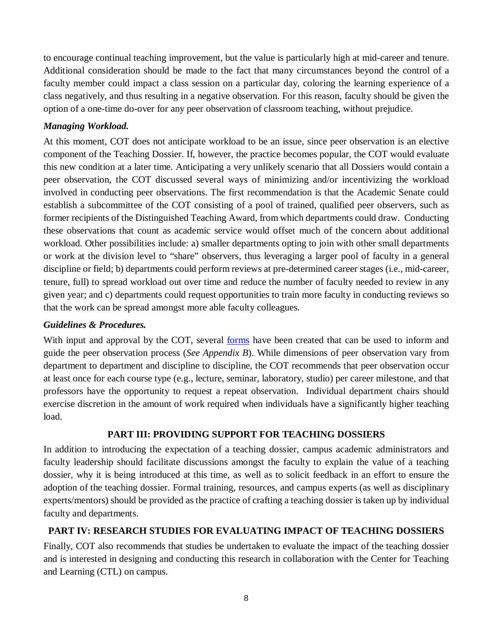to encourage continual teaching improvement, but the value is particularly high at mid-career and tenure. Additional consideration should be made to the fact that many circumstances beyond the control of a faculty member could impact a class session on a particular day, coloring the learning experience of a class negatively, and thus resulting in a negative observation. For this reason, faculty should be given the option of a one-time do-over for any peer observation of classroom teaching, without prejudice.

### *Managing Workload.*

At this moment, COT does not anticipate workload to be an issue, since peer observation is an elective component of the Teaching Dossier. If, however, the practice becomes popular, the COT would evaluate this new condition at a later time. Anticipating a very unlikely scenario that all Dossiers would contain a peer observation, the COT discussed several ways of minimizing and/or incentivizing the workload involved in conducting peer observations. The first recommendation is that the Academic Senate could establish a subcommittee of the COT consisting of a pool of trained, qualified peer observers, such as former recipients of the Distinguished Teaching Award, from which departments could draw. Conducting these observations that count as academic service would offset much of the concern about additional workload. Other possibilities include: a) smaller departments opting to join with other small departments or work at the division level to "share" observers, thus leveraging a larger pool of faculty in a general discipline or field; b) departments could perform reviews at pre-determined career stages (i.e., mid-career, tenure, full) to spread workload out over time and reduce the number of faculty needed to review in any given year; and c) departments could request opportunities to train more faculty in conducting reviews so that the work can be spread amongst more able faculty colleagues.

### *Guidelines & Procedures.*

With input and approva[l](http://teaching.berkeley.edu/peer-review-course-instruction) by the COT, several <u>[forms](http://teaching.berkeley.edu/peer-review-course-instruction)</u> have been created that can be used to inform and guide the peer observation process (*See Appendix B*). While dimensions of peer observation vary from department to department and discipline to discipline, the COT recommends that peer observation occur at least once for each course type (e.g., lecture, seminar, laboratory, studio) per career milestone, and that professors have the opportunity to request a repeat observation. Individual department chairs should exercise discretion in the amount of work required when individuals have a significantly higher teaching load.

## **PART III: PROVIDING SUPPORT FOR TEACHING DOSSIERS**

In addition to introducing the expectation of a teaching dossier, campus academic administrators and faculty leadership should facilitate discussions amongst the faculty to explain the value of a teaching dossier, why it is being introduced at this time, as well as to solicit feedback in an effort to ensure the adoption of the teaching dossier. Formal training, resources, and campus experts (as well as disciplinary experts/mentors) should be provided as the practice of crafting a teaching dossier is taken up by individual faculty and departments.

## **PART IV: RESEARCH STUDIES FOR EVALUATING IMPACT OF TEACHING DOSSIERS**

Finally, COT also recommends that studies be undertaken to evaluate the impact of the teaching dossier and is interested in designing and conducting this research in collaboration with the Center for Teaching and Learning (CTL) on campus.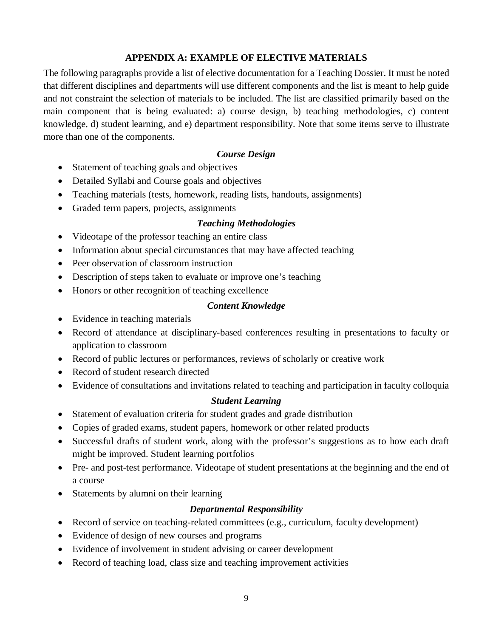### **APPENDIX A: EXAMPLE OF ELECTIVE MATERIALS**

The following paragraphs provide a list of elective documentation for a Teaching Dossier. It must be noted that different disciplines and departments will use different components and the list is meant to help guide and not constraint the selection of materials to be included. The list are classified primarily based on the main component that is being evaluated: a) course design, b) teaching methodologies, c) content knowledge, d) student learning, and e) department responsibility. Note that some items serve to illustrate more than one of the components.

### *Course Design*

- Statement of teaching goals and objectives
- Detailed Syllabi and Course goals and objectives
- Teaching materials (tests, homework, reading lists, handouts, assignments)
- Graded term papers, projects, assignments

### *Teaching Methodologies*

- Videotape of the professor teaching an entire class
- Information about special circumstances that may have affected teaching
- Peer observation of classroom instruction
- Description of steps taken to evaluate or improve one's teaching
- Honors or other recognition of teaching excellence

#### *Content Knowledge*

- Evidence in teaching materials
- Record of attendance at disciplinary-based conferences resulting in presentations to faculty or application to classroom
- Record of public lectures or performances, reviews of scholarly or creative work
- Record of student research directed
- Evidence of consultations and invitations related to teaching and participation in faculty colloquia

### *Student Learning*

- Statement of evaluation criteria for student grades and grade distribution
- Copies of graded exams, student papers, homework or other related products
- Successful drafts of student work, along with the professor's suggestions as to how each draft might be improved. Student learning portfolios
- Pre- and post-test performance. Videotape of student presentations at the beginning and the end of a course
- Statements by alumni on their learning

## *Departmental Responsibility*

- Record of service on teaching-related committees (e.g., curriculum, faculty development)
- Evidence of design of new courses and programs
- Evidence of involvement in student advising or career development
- Record of teaching load, class size and teaching improvement activities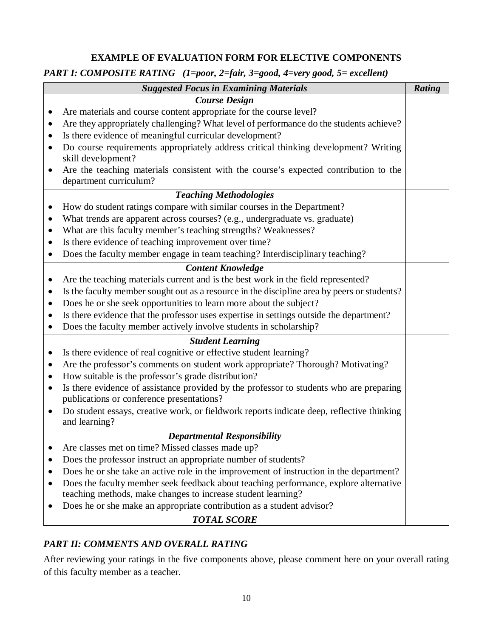## **EXAMPLE OF EVALUATION FORM FOR ELECTIVE COMPONENTS**

### *PART I: COMPOSITE RATING (1=poor, 2=fair, 3=good, 4=very good, 5= excellent)*

| <b>Suggested Focus in Examining Materials</b>                                                            | Rating |
|----------------------------------------------------------------------------------------------------------|--------|
| <b>Course Design</b>                                                                                     |        |
| Are materials and course content appropriate for the course level?<br>٠                                  |        |
| Are they appropriately challenging? What level of performance do the students achieve?                   |        |
| Is there evidence of meaningful curricular development?<br>$\bullet$                                     |        |
| Do course requirements appropriately address critical thinking development? Writing<br>$\bullet$         |        |
| skill development?                                                                                       |        |
| Are the teaching materials consistent with the course's expected contribution to the                     |        |
| department curriculum?                                                                                   |        |
| <b>Teaching Methodologies</b>                                                                            |        |
| How do student ratings compare with similar courses in the Department?<br>$\bullet$                      |        |
| What trends are apparent across courses? (e.g., undergraduate vs. graduate)                              |        |
| What are this faculty member's teaching strengths? Weaknesses?                                           |        |
| Is there evidence of teaching improvement over time?<br>$\bullet$                                        |        |
| Does the faculty member engage in team teaching? Interdisciplinary teaching?<br>٠                        |        |
| <b>Content Knowledge</b>                                                                                 |        |
| Are the teaching materials current and is the best work in the field represented?<br>$\bullet$           |        |
| Is the faculty member sought out as a resource in the discipline area by peers or students?<br>$\bullet$ |        |
| Does he or she seek opportunities to learn more about the subject?<br>$\bullet$                          |        |
| Is there evidence that the professor uses expertise in settings outside the department?                  |        |
| Does the faculty member actively involve students in scholarship?                                        |        |
| <b>Student Learning</b>                                                                                  |        |
| Is there evidence of real cognitive or effective student learning?<br>$\bullet$                          |        |
| Are the professor's comments on student work appropriate? Thorough? Motivating?                          |        |
| How suitable is the professor's grade distribution?<br>$\bullet$                                         |        |
| Is there evidence of assistance provided by the professor to students who are preparing<br>$\bullet$     |        |
| publications or conference presentations?                                                                |        |
| Do student essays, creative work, or fieldwork reports indicate deep, reflective thinking<br>$\bullet$   |        |
| and learning?                                                                                            |        |
| <b>Departmental Responsibility</b>                                                                       |        |
| Are classes met on time? Missed classes made up?                                                         |        |
| Does the professor instruct an appropriate number of students?                                           |        |
| Does he or she take an active role in the improvement of instruction in the department?<br>$\bullet$     |        |
| Does the faculty member seek feedback about teaching performance, explore alternative                    |        |
| teaching methods, make changes to increase student learning?                                             |        |
| Does he or she make an appropriate contribution as a student advisor?                                    |        |
| <b>TOTAL SCORE</b>                                                                                       |        |

## *PART II: COMMENTS AND OVERALL RATING*

After reviewing your ratings in the five components above, please comment here on your overall rating of this faculty member as a teacher.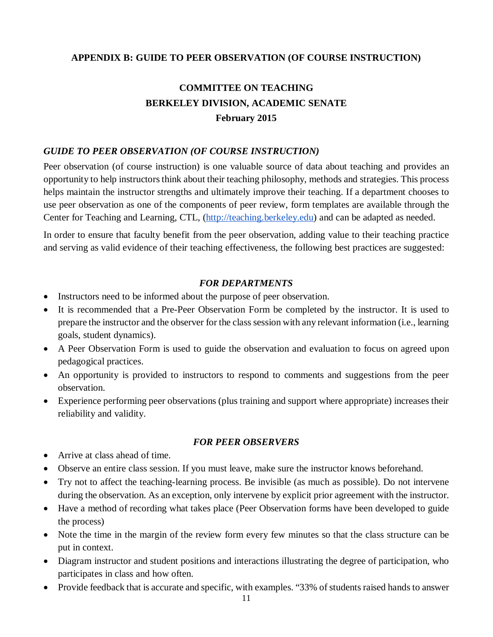### **APPENDIX B: GUIDE TO PEER OBSERVATION (OF COURSE INSTRUCTION)**

# **COMMITTEE ON TEACHING BERKELEY DIVISION, ACADEMIC SENATE February 2015**

### *GUIDE TO PEER OBSERVATION (OF COURSE INSTRUCTION)*

Peer observation (of course instruction) is one valuable source of data about teaching and provides an opportunity to help instructorsthink about their teaching philosophy, methods and strategies. This process helps maintain the instructor strengths and ultimately improve their teaching. If a department chooses to use peer observation as one of the components of peer review, form templates are available through the Center for Teaching and Learning, CTL, [\(http://teaching.berkeley.edu\)](http://teaching.berkeley.edu/) and can be adapted as needed.

In order to ensure that faculty benefit from the peer observation, adding value to their teaching practice and serving as valid evidence of their teaching effectiveness, the following best practices are suggested:

### *FOR DEPARTMENTS*

- Instructors need to be informed about the purpose of peer observation.
- It is recommended that a Pre-Peer Observation Form be completed by the instructor. It is used to prepare the instructor and the observer for the class session with any relevant information (i.e., learning goals, student dynamics).
- A Peer Observation Form is used to guide the observation and evaluation to focus on agreed upon pedagogical practices.
- An opportunity is provided to instructors to respond to comments and suggestions from the peer observation.
- Experience performing peer observations (plus training and support where appropriate) increases their reliability and validity.

### *FOR PEER OBSERVERS*

- Arrive at class ahead of time.
- Observe an entire class session. If you must leave, make sure the instructor knows beforehand.
- Try not to affect the teaching-learning process. Be invisible (as much as possible). Do not intervene during the observation. As an exception, only intervene by explicit prior agreement with the instructor.
- Have a method of recording what takes place (Peer Observation forms have been developed to guide the process)
- Note the time in the margin of the review form every few minutes so that the class structure can be put in context.
- Diagram instructor and student positions and interactions illustrating the degree of participation, who participates in class and how often.
- Provide feedback that is accurate and specific, with examples. "33% of students raised hands to answer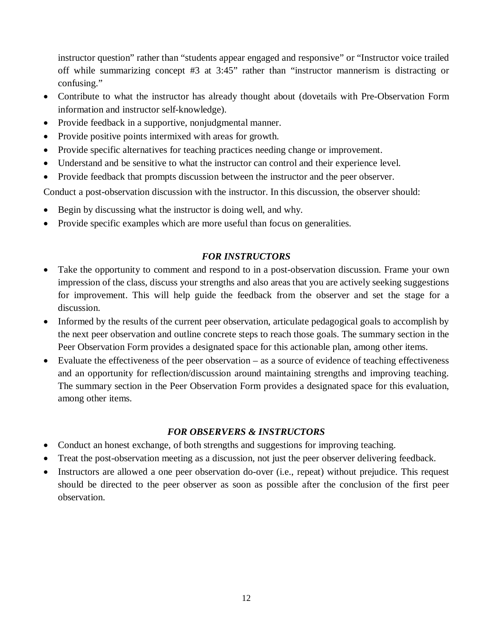instructor question" rather than "students appear engaged and responsive" or "Instructor voice trailed off while summarizing concept #3 at 3:45" rather than "instructor mannerism is distracting or confusing."

- Contribute to what the instructor has already thought about (dovetails with Pre-Observation Form information and instructor self-knowledge).
- Provide feedback in a supportive, nonjudgmental manner.
- Provide positive points intermixed with areas for growth.
- Provide specific alternatives for teaching practices needing change or improvement.
- Understand and be sensitive to what the instructor can control and their experience level.
- Provide feedback that prompts discussion between the instructor and the peer observer.

Conduct a post-observation discussion with the instructor. In this discussion, the observer should:

- Begin by discussing what the instructor is doing well, and why.
- Provide specific examples which are more useful than focus on generalities.

## *FOR INSTRUCTORS*

- Take the opportunity to comment and respond to in a post-observation discussion. Frame your own impression of the class, discuss your strengths and also areas that you are actively seeking suggestions for improvement. This will help guide the feedback from the observer and set the stage for a discussion.
- Informed by the results of the current peer observation, articulate pedagogical goals to accomplish by the next peer observation and outline concrete steps to reach those goals. The summary section in the Peer Observation Form provides a designated space for this actionable plan, among other items.
- Evaluate the effectiveness of the peer observation as a source of evidence of teaching effectiveness and an opportunity for reflection/discussion around maintaining strengths and improving teaching. The summary section in the Peer Observation Form provides a designated space for this evaluation, among other items.

### *FOR OBSERVERS & INSTRUCTORS*

- Conduct an honest exchange, of both strengths and suggestions for improving teaching.
- Treat the post-observation meeting as a discussion, not just the peer observer delivering feedback.
- Instructors are allowed a one peer observation do-over (i.e., repeat) without prejudice. This request should be directed to the peer observer as soon as possible after the conclusion of the first peer observation.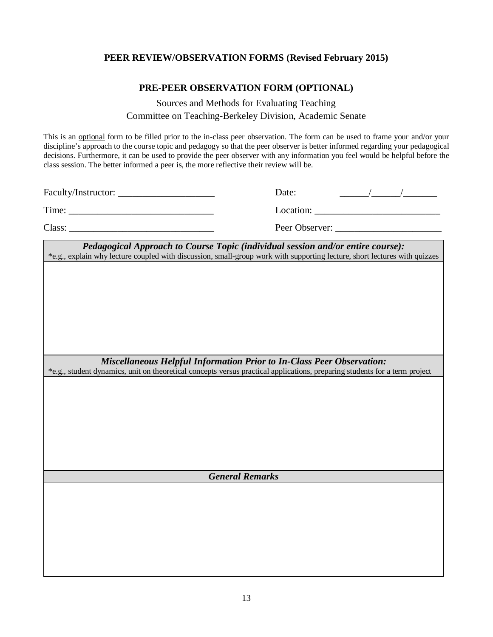#### **PEER REVIEW/OBSERVATION FORMS (Revised February 2015)**

#### **PRE-PEER OBSERVATION FORM (OPTIONAL)**

Sources and Methods for Evaluating Teaching Committee on Teaching-Berkeley Division, Academic Senate

This is an optional form to be filled prior to the in-class peer observation. The form can be used to frame your and/or your discipline's approach to the course topic and pedagogy so that the peer observer is better informed regarding your pedagogical decisions. Furthermore, it can be used to provide the peer observer with any information you feel would be helpful before the class session. The better informed a peer is, the more reflective their review will be.

| Faculty/Instructor: _ | Date:     |
|-----------------------|-----------|
| Time:                 | Location: |

Class: \_\_\_\_\_\_\_\_\_\_\_\_\_\_\_\_\_\_\_\_\_\_\_\_\_\_\_\_\_\_ Peer Observer: \_\_\_\_\_\_\_\_\_\_\_\_\_\_\_\_\_\_\_\_\_\_ *Pedagogical Approach to Course Topic (individual session and/or entire course):* \*e.g., explain why lecture coupled with discussion, small-group work with supporting lecture, short lectures with quizzes

*Miscellaneous Helpful Information Prior to In-Class Peer Observation:* \*e.g., student dynamics, unit on theoretical concepts versus practical applications, preparing students for a term project

*General Remarks*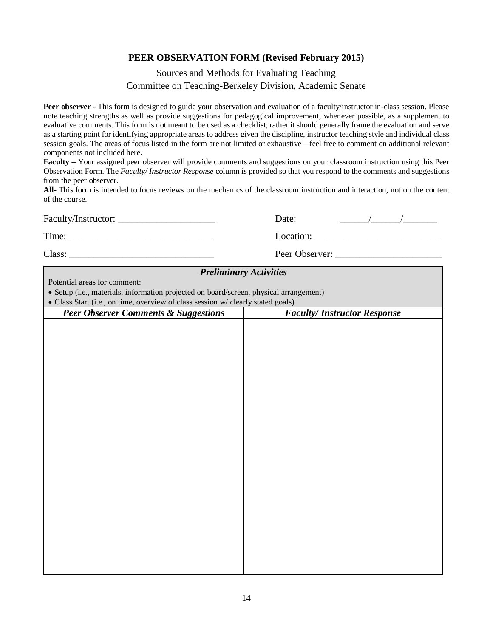### **PEER OBSERVATION FORM (Revised February 2015)**

Sources and Methods for Evaluating Teaching Committee on Teaching-Berkeley Division, Academic Senate

**Peer observer** - This form is designed to guide your observation and evaluation of a faculty/instructor in-class session. Please note teaching strengths as well as provide suggestions for pedagogical improvement, whenever possible, as a supplement to evaluative comments. This form is not meant to be used as a checklist, rather it should generally frame the evaluation and serve as a starting point for identifying appropriate areas to address given the discipline, instructor teaching style and individual class session goals. The areas of focus listed in the form are not limited or exhaustive—feel free to comment on additional relevant components not included here.

**Faculty** – Your assigned peer observer will provide comments and suggestions on your classroom instruction using this Peer Observation Form. The *Faculty/ Instructor Response* column is provided so that you respond to the comments and suggestions from the peer observer.

**All**- This form is intended to focus reviews on the mechanics of the classroom instruction and interaction, not on the content of the course.

| Faculty/Instructor: | Date:          |
|---------------------|----------------|
| Time:               | Location:      |
| Class:              | Peer Observer: |

#### *Preliminary Activities*

Potential areas for comment:

• Setup (i.e., materials, information projected on board/screen, physical arrangement)

• Class Start (i.e., on time, overview of class session w/ clearly stated goals)

| <b>Peer Observer Comments &amp; Suggestions</b> | <b>Faculty/Instructor Response</b> |
|-------------------------------------------------|------------------------------------|
|                                                 |                                    |
|                                                 |                                    |
|                                                 |                                    |
|                                                 |                                    |
|                                                 |                                    |
|                                                 |                                    |
|                                                 |                                    |
|                                                 |                                    |
|                                                 |                                    |
|                                                 |                                    |
|                                                 |                                    |
|                                                 |                                    |
|                                                 |                                    |
|                                                 |                                    |
|                                                 |                                    |
|                                                 |                                    |
|                                                 |                                    |
|                                                 |                                    |
|                                                 |                                    |
|                                                 |                                    |
|                                                 |                                    |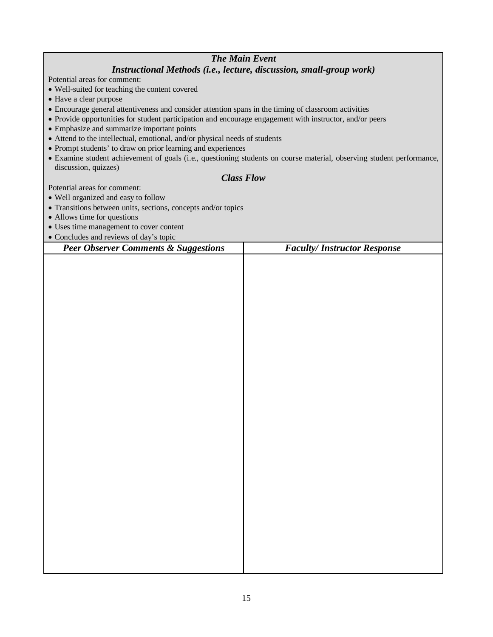### *The Main Event*

#### *Instructional Methods (i.e., lecture, discussion, small-group work)*

Potential areas for comment:

- Well-suited for teaching the content covered
- Have a clear purpose
- Encourage general attentiveness and consider attention spans in the timing of classroom activities
- Provide opportunities for student participation and encourage engagement with instructor, and/or peers
- Emphasize and summarize important points
- Attend to the intellectual, emotional, and/or physical needs of students
- Prompt students' to draw on prior learning and experiences
- Examine student achievement of goals (i.e., questioning students on course material, observing student performance, discussion, quizzes)

#### *Class Flow*

Potential areas for comment:

- Well organized and easy to follow
- Transitions between units, sections, concepts and/or topics
- Allows time for questions
- Uses time management to cover content

Concludes and reviews of day's topic

| Concidered and reviews of day s'repre-<br><b>Peer Observer Comments &amp; Suggestions</b> | <b>Faculty/Instructor Response</b> |
|-------------------------------------------------------------------------------------------|------------------------------------|
|                                                                                           |                                    |
|                                                                                           |                                    |
|                                                                                           |                                    |
|                                                                                           |                                    |
|                                                                                           |                                    |
|                                                                                           |                                    |
|                                                                                           |                                    |
|                                                                                           |                                    |
|                                                                                           |                                    |
|                                                                                           |                                    |
|                                                                                           |                                    |
|                                                                                           |                                    |
|                                                                                           |                                    |
|                                                                                           |                                    |
|                                                                                           |                                    |
|                                                                                           |                                    |
|                                                                                           |                                    |
|                                                                                           |                                    |
|                                                                                           |                                    |
|                                                                                           |                                    |
|                                                                                           |                                    |
|                                                                                           |                                    |
|                                                                                           |                                    |
|                                                                                           |                                    |
|                                                                                           |                                    |
|                                                                                           |                                    |
|                                                                                           |                                    |
|                                                                                           |                                    |
|                                                                                           |                                    |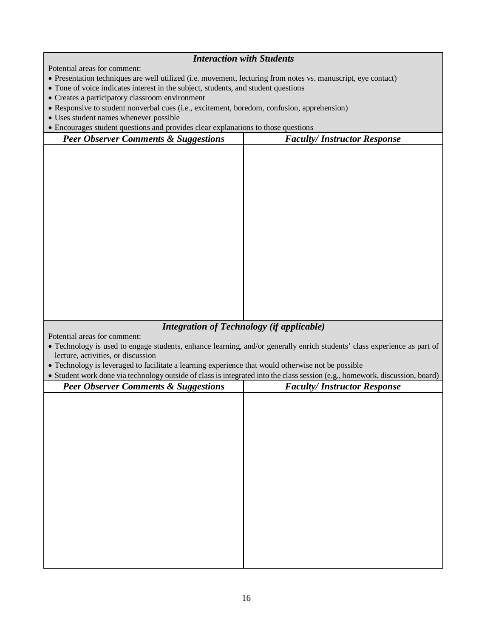## *Interaction with Students*

Potential areas for comment:

- Presentation techniques are well utilized (i.e. movement, lecturing from notes vs. manuscript, eye contact)
- Tone of voice indicates interest in the subject, students, and student questions
- Creates a participatory classroom environment
- Responsive to student nonverbal cues (i.e., excitement, boredom, confusion, apprehension)
- Uses student names whenever possible
- Encourages student questions and provides clear explanations to those questions

| - Encourages statent questions and provides crear explanations to those questions |                                    |
|-----------------------------------------------------------------------------------|------------------------------------|
| <b>Peer Observer Comments &amp; Suggestions</b>                                   | <b>Faculty/Instructor Response</b> |
|                                                                                   |                                    |
|                                                                                   |                                    |
|                                                                                   |                                    |
|                                                                                   |                                    |
|                                                                                   |                                    |
|                                                                                   |                                    |
|                                                                                   |                                    |
|                                                                                   |                                    |
|                                                                                   |                                    |
|                                                                                   |                                    |
|                                                                                   |                                    |
|                                                                                   |                                    |
|                                                                                   |                                    |
|                                                                                   |                                    |
|                                                                                   |                                    |
|                                                                                   |                                    |

#### *Integration of Technology (if applicable)*

Potential areas for comment:

- Technology is used to engage students, enhance learning, and/or generally enrich students' class experience as part of lecture, activities, or discussion
- Technology is leveraged to facilitate a learning experience that would otherwise not be possible
- Student work done via technology outside of class is integrated into the class session (e.g., homework, discussion, board)

| stacture work come with technology              | supplet of the model model of the theoretical (trans a since a single model of the company<br><b>Faculty/Instructor Response</b> |
|-------------------------------------------------|----------------------------------------------------------------------------------------------------------------------------------|
| <b>Peer Observer Comments &amp; Suggestions</b> |                                                                                                                                  |
|                                                 |                                                                                                                                  |
|                                                 |                                                                                                                                  |
|                                                 |                                                                                                                                  |
|                                                 |                                                                                                                                  |
|                                                 |                                                                                                                                  |
|                                                 |                                                                                                                                  |
|                                                 |                                                                                                                                  |
|                                                 |                                                                                                                                  |
|                                                 |                                                                                                                                  |
|                                                 |                                                                                                                                  |
|                                                 |                                                                                                                                  |
|                                                 |                                                                                                                                  |
|                                                 |                                                                                                                                  |
|                                                 |                                                                                                                                  |
|                                                 |                                                                                                                                  |
|                                                 |                                                                                                                                  |
|                                                 |                                                                                                                                  |
|                                                 |                                                                                                                                  |
|                                                 |                                                                                                                                  |
|                                                 |                                                                                                                                  |
|                                                 |                                                                                                                                  |
|                                                 |                                                                                                                                  |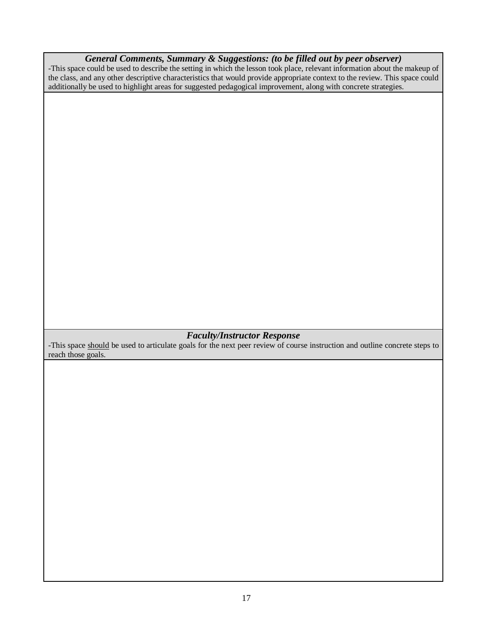#### *General Comments, Summary & Suggestions: (to be filled out by peer observer)*

-This space could be used to describe the setting in which the lesson took place, relevant information about the makeup of the class, and any other descriptive characteristics that would provide appropriate context to the review. This space could additionally be used to highlight areas for suggested pedagogical improvement, along with concrete strategies.

#### *Faculty/Instructor Response*

-This space should be used to articulate goals for the next peer review of course instruction and outline concrete steps to reach those goals.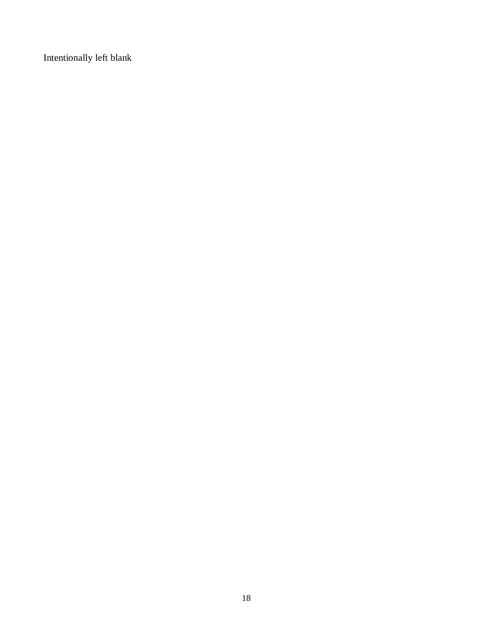Intentionally left blank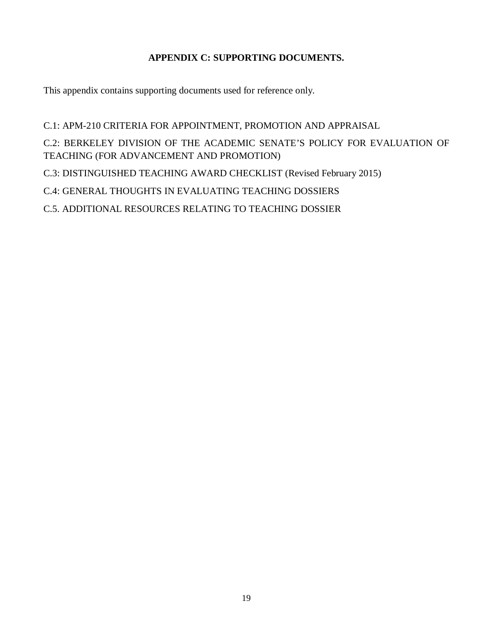## **APPENDIX C: SUPPORTING DOCUMENTS.**

This appendix contains supporting documents used for reference only.

## C.1: [APM-210 CRITERIA FOR APPOINTMENT, PROMOTION](http://www.ucop.edu/academic-personnel/_files/apm/apm-210.pdf) AND APPRAISAL

## C.2: BERKELEY DIVISION OF THE ACADEMIC SENATE'[S](http://teaching.berkeley.edu/sites/teaching.berkeley.edu/files/Policy_TchgEval_1987.pdf) [POLICY FOR EVALUATION OF](http://teaching.berkeley.edu/sites/teaching.berkeley.edu/files/Policy_TchgEval_1987.pdf)  [TEACHING \(FOR ADVANCEMENT AND PROMOTION\)](http://teaching.berkeley.edu/sites/teaching.berkeley.edu/files/Policy_TchgEval_1987.pdf)

C.3: DISTINGUISHED TEACHING AWARD CHECKLIST (Revised February 2015)

## C.4: GENERAL THOUGHTS IN EVALUATING TEACHING DOSSIERS

## C.5. ADDITIONAL RESOURCES RELATING TO TEACHING DOSSIER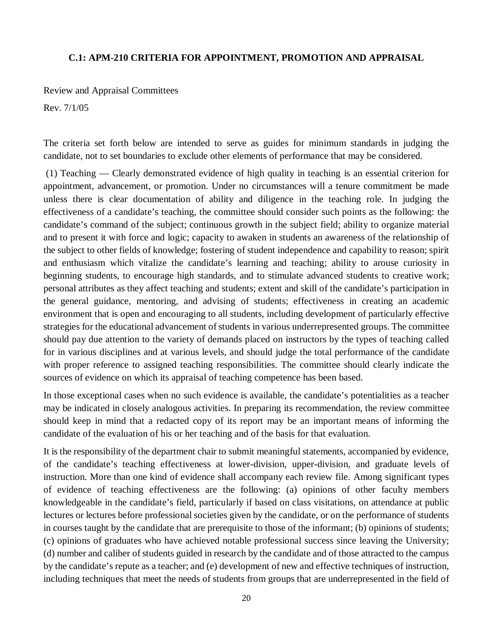#### **C.1[:](http://www.ucop.edu/academic-personnel/_files/apm/apm-210.pdf) [APM-210 CRITERIA FOR APPOINTMENT, PROMOTION](http://www.ucop.edu/academic-personnel/_files/apm/apm-210.pdf) AND APPRAISAL**

Review and Appraisal Committees

Rev. 7/1/05

The criteria set forth below are intended to serve as guides for minimum standards in judging the candidate, not to set boundaries to exclude other elements of performance that may be considered.

(1) Teaching — Clearly demonstrated evidence of high quality in teaching is an essential criterion for appointment, advancement, or promotion. Under no circumstances will a tenure commitment be made unless there is clear documentation of ability and diligence in the teaching role. In judging the effectiveness of a candidate's teaching, the committee should consider such points as the following: the candidate's command of the subject; continuous growth in the subject field; ability to organize material and to present it with force and logic; capacity to awaken in students an awareness of the relationship of the subject to other fields of knowledge; fostering of student independence and capability to reason; spirit and enthusiasm which vitalize the candidate's learning and teaching; ability to arouse curiosity in beginning students, to encourage high standards, and to stimulate advanced students to creative work; personal attributes as they affect teaching and students; extent and skill of the candidate's participation in the general guidance, mentoring, and advising of students; effectiveness in creating an academic environment that is open and encouraging to all students, including development of particularly effective strategies for the educational advancement of students in various underrepresented groups. The committee should pay due attention to the variety of demands placed on instructors by the types of teaching called for in various disciplines and at various levels, and should judge the total performance of the candidate with proper reference to assigned teaching responsibilities. The committee should clearly indicate the sources of evidence on which its appraisal of teaching competence has been based.

In those exceptional cases when no such evidence is available, the candidate's potentialities as a teacher may be indicated in closely analogous activities. In preparing its recommendation, the review committee should keep in mind that a redacted copy of its report may be an important means of informing the candidate of the evaluation of his or her teaching and of the basis for that evaluation.

It is the responsibility of the department chair to submit meaningful statements, accompanied by evidence, of the candidate's teaching effectiveness at lower-division, upper-division, and graduate levels of instruction. More than one kind of evidence shall accompany each review file. Among significant types of evidence of teaching effectiveness are the following: (a) opinions of other faculty members knowledgeable in the candidate's field, particularly if based on class visitations, on attendance at public lectures or lectures before professional societies given by the candidate, or on the performance of students in courses taught by the candidate that are prerequisite to those of the informant; (b) opinions of students; (c) opinions of graduates who have achieved notable professional success since leaving the University; (d) number and caliber of students guided in research by the candidate and of those attracted to the campus by the candidate's repute as a teacher; and (e) development of new and effective techniques of instruction, including techniques that meet the needs of students from groups that are underrepresented in the field of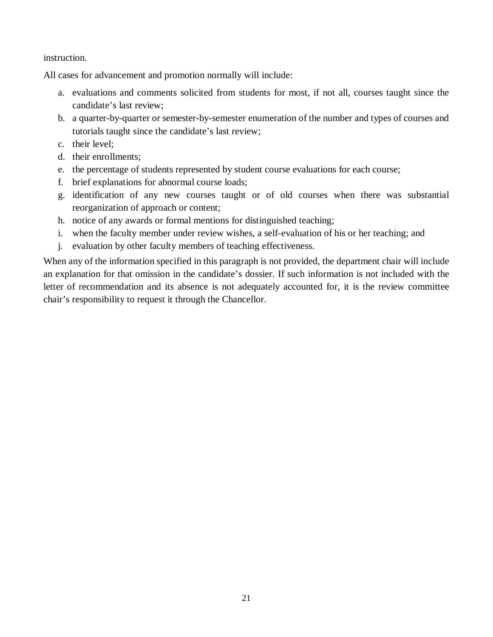instruction.

All cases for advancement and promotion normally will include:

- a. evaluations and comments solicited from students for most, if not all, courses taught since the candidate's last review;
- b. a quarter-by-quarter or semester-by-semester enumeration of the number and types of courses and tutorials taught since the candidate's last review;
- c. their level;
- d. their enrollments;
- e. the percentage of students represented by student course evaluations for each course;
- f. brief explanations for abnormal course loads;
- g. identification of any new courses taught or of old courses when there was substantial reorganization of approach or content;
- h. notice of any awards or formal mentions for distinguished teaching;
- i. when the faculty member under review wishes, a self-evaluation of his or her teaching; and
- j. evaluation by other faculty members of teaching effectiveness.

When any of the information specified in this paragraph is not provided, the department chair will include an explanation for that omission in the candidate's dossier. If such information is not included with the letter of recommendation and its absence is not adequately accounted for, it is the review committee chair's responsibility to request it through the Chancellor.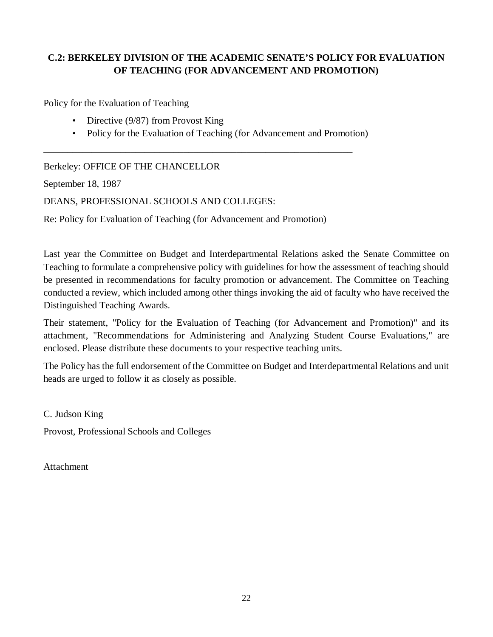## **C.2: BERKELEY DIVISION OF THE ACADEMIC SENATE'[S](http://teaching.berkeley.edu/sites/teaching.berkeley.edu/files/Policy_TchgEval_1987.pdf) [POLICY FOR EVALUATION](http://teaching.berkeley.edu/sites/teaching.berkeley.edu/files/Policy_TchgEval_1987.pdf)  [OF TEACHING \(FOR ADVANCEMENT AND PROMOTION\)](http://teaching.berkeley.edu/sites/teaching.berkeley.edu/files/Policy_TchgEval_1987.pdf)**

Policy for the Evaluation of Teaching

- Directive (9/87) from Provost King
- Policy for the Evaluation of Teaching (for Advancement and Promotion)

\_\_\_\_\_\_\_\_\_\_\_\_\_\_\_\_\_\_\_\_\_\_\_\_\_\_\_\_\_\_\_\_\_\_\_\_\_\_\_\_\_\_\_\_\_\_\_\_\_\_\_\_\_\_\_\_\_\_\_\_\_\_\_\_

Berkeley: OFFICE OF THE CHANCELLOR September 18, 1987 DEANS, PROFESSIONAL SCHOOLS AND COLLEGES: Re: Policy for Evaluation of Teaching (for Advancement and Promotion)

Last year the Committee on Budget and Interdepartmental Relations asked the Senate Committee on Teaching to formulate a comprehensive policy with guidelines for how the assessment of teaching should be presented in recommendations for faculty promotion or advancement. The Committee on Teaching conducted a review, which included among other things invoking the aid of faculty who have received the Distinguished Teaching Awards.

Their statement, "Policy for the Evaluation of Teaching (for Advancement and Promotion)" and its attachment, "Recommendations for Administering and Analyzing Student Course Evaluations," are enclosed. Please distribute these documents to your respective teaching units.

The Policy has the full endorsement of the Committee on Budget and Interdepartmental Relations and unit heads are urged to follow it as closely as possible.

C. Judson King

Provost, Professional Schools and Colleges

Attachment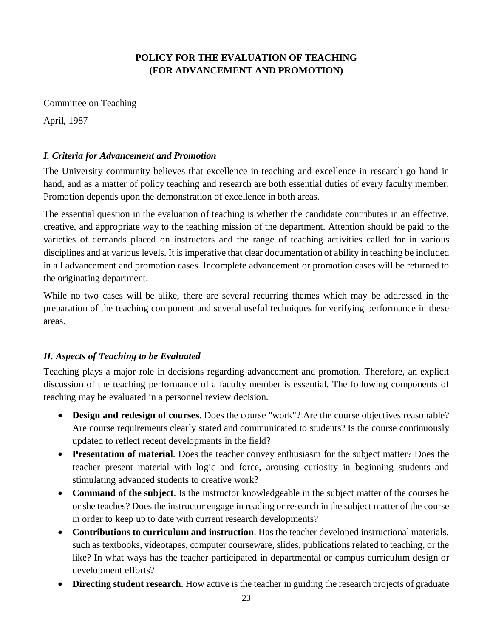## **POLICY FOR THE EVALUATION OF TEACHING (FOR ADVANCEMENT AND PROMOTION)**

Committee on Teaching

April, 1987

### *I. Criteria for Advancement and Promotion*

The University community believes that excellence in teaching and excellence in research go hand in hand, and as a matter of policy teaching and research are both essential duties of every faculty member. Promotion depends upon the demonstration of excellence in both areas.

The essential question in the evaluation of teaching is whether the candidate contributes in an effective, creative, and appropriate way to the teaching mission of the department. Attention should be paid to the varieties of demands placed on instructors and the range of teaching activities called for in various disciplines and at various levels. It is imperative that clear documentation of ability in teaching be included in all advancement and promotion cases. Incomplete advancement or promotion cases will be returned to the originating department.

While no two cases will be alike, there are several recurring themes which may be addressed in the preparation of the teaching component and several useful techniques for verifying performance in these areas.

## *II. Aspects of Teaching to be Evaluated*

Teaching plays a major role in decisions regarding advancement and promotion. Therefore, an explicit discussion of the teaching performance of a faculty member is essential. The following components of teaching may be evaluated in a personnel review decision.

- **Design and redesign of courses**. Does the course "work"? Are the course objectives reasonable? Are course requirements clearly stated and communicated to students? Is the course continuously updated to reflect recent developments in the field?
- **Presentation of material**. Does the teacher convey enthusiasm for the subject matter? Does the teacher present material with logic and force, arousing curiosity in beginning students and stimulating advanced students to creative work?
- **Command of the subject**. Is the instructor knowledgeable in the subject matter of the courses he or she teaches? Does the instructor engage in reading or research in the subject matter of the course in order to keep up to date with current research developments?
- **Contributions to curriculum and instruction**. Has the teacher developed instructional materials, such as textbooks, videotapes, computer courseware, slides, publications related to teaching, or the like? In what ways has the teacher participated in departmental or campus curriculum design or development efforts?
- **Directing student research**. How active is the teacher in guiding the research projects of graduate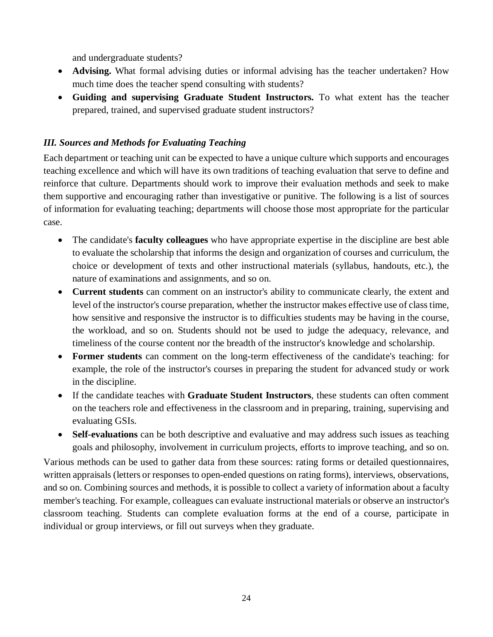and undergraduate students?

- **Advising.** What formal advising duties or informal advising has the teacher undertaken? How much time does the teacher spend consulting with students?
- **Guiding and supervising Graduate Student Instructors.** To what extent has the teacher prepared, trained, and supervised graduate student instructors?

### *III. Sources and Methods for Evaluating Teaching*

Each department or teaching unit can be expected to have a unique culture which supports and encourages teaching excellence and which will have its own traditions of teaching evaluation that serve to define and reinforce that culture. Departments should work to improve their evaluation methods and seek to make them supportive and encouraging rather than investigative or punitive. The following is a list of sources of information for evaluating teaching; departments will choose those most appropriate for the particular case.

- The candidate's **faculty colleagues** who have appropriate expertise in the discipline are best able to evaluate the scholarship that informs the design and organization of courses and curriculum, the choice or development of texts and other instructional materials (syllabus, handouts, etc.), the nature of examinations and assignments, and so on.
- **Current students** can comment on an instructor's ability to communicate clearly, the extent and level of the instructor's course preparation, whether the instructor makes effective use of class time, how sensitive and responsive the instructor is to difficulties students may be having in the course, the workload, and so on. Students should not be used to judge the adequacy, relevance, and timeliness of the course content nor the breadth of the instructor's knowledge and scholarship.
- **Former students** can comment on the long-term effectiveness of the candidate's teaching: for example, the role of the instructor's courses in preparing the student for advanced study or work in the discipline.
- If the candidate teaches with **Graduate Student Instructors**, these students can often comment on the teachers role and effectiveness in the classroom and in preparing, training, supervising and evaluating GSIs.
- **Self-evaluations** can be both descriptive and evaluative and may address such issues as teaching goals and philosophy, involvement in curriculum projects, efforts to improve teaching, and so on.

Various methods can be used to gather data from these sources: rating forms or detailed questionnaires, written appraisals (letters or responses to open-ended questions on rating forms), interviews, observations, and so on. Combining sources and methods, it is possible to collect a variety of information about a faculty member's teaching. For example, colleagues can evaluate instructional materials or observe an instructor's classroom teaching. Students can complete evaluation forms at the end of a course, participate in individual or group interviews, or fill out surveys when they graduate.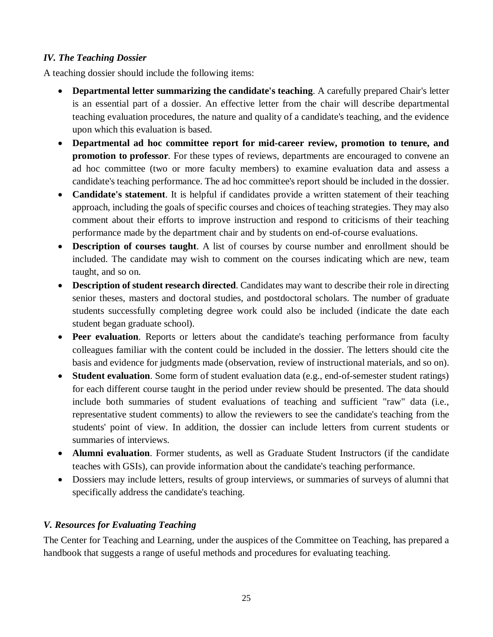## *IV. The Teaching Dossier*

A teaching dossier should include the following items:

- **Departmental letter summarizing the candidate's teaching**. A carefully prepared Chair's letter is an essential part of a dossier. An effective letter from the chair will describe departmental teaching evaluation procedures, the nature and quality of a candidate's teaching, and the evidence upon which this evaluation is based.
- **Departmental ad hoc committee report for mid-career review, promotion to tenure, and promotion to professor**. For these types of reviews, departments are encouraged to convene an ad hoc committee (two or more faculty members) to examine evaluation data and assess a candidate's teaching performance. The ad hoc committee's report should be included in the dossier.
- **Candidate's statement**. It is helpful if candidates provide a written statement of their teaching approach, including the goals of specific courses and choices of teaching strategies. They may also comment about their efforts to improve instruction and respond to criticisms of their teaching performance made by the department chair and by students on end-of-course evaluations.
- **Description of courses taught**. A list of courses by course number and enrollment should be included. The candidate may wish to comment on the courses indicating which are new, team taught, and so on.
- **Description of student research directed**. Candidates may want to describe their role in directing senior theses, masters and doctoral studies, and postdoctoral scholars. The number of graduate students successfully completing degree work could also be included (indicate the date each student began graduate school).
- **Peer evaluation**. Reports or letters about the candidate's teaching performance from faculty colleagues familiar with the content could be included in the dossier. The letters should cite the basis and evidence for judgments made (observation, review of instructional materials, and so on).
- **Student evaluation**. Some form of student evaluation data (e.g., end-of-semester student ratings) for each different course taught in the period under review should be presented. The data should include both summaries of student evaluations of teaching and sufficient "raw" data (i.e., representative student comments) to allow the reviewers to see the candidate's teaching from the students' point of view. In addition, the dossier can include letters from current students or summaries of interviews.
- **Alumni evaluation**. Former students, as well as Graduate Student Instructors (if the candidate teaches with GSIs), can provide information about the candidate's teaching performance.
- Dossiers may include letters, results of group interviews, or summaries of surveys of alumni that specifically address the candidate's teaching.

### *V. Resources for Evaluating Teaching*

The Center for Teaching and Learning, under the auspices of the Committee on Teaching, has prepared a handbook that suggests a range of useful methods and procedures for evaluating teaching.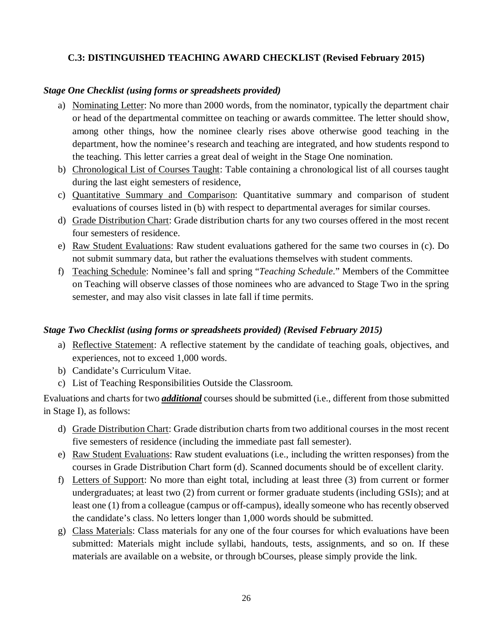### **C.3: DISTINGUISHED TEACHING AWARD CHECKLIST (Revised February 2015)**

#### *Stage One Checklist (using forms or spreadsheets provided)*

- a) Nominating Letter: No more than 2000 words, from the nominator, typically the department chair or head of the departmental committee on teaching or awards committee. The letter should show, among other things, how the nominee clearly rises above otherwise good teaching in the department, how the nominee's research and teaching are integrated, and how students respond to the teaching. This letter carries a great deal of weight in the Stage One nomination.
- b) Chronological List of Courses Taught: Table containing a chronological list of all courses taught during the last eight semesters of residence,
- c) Quantitative Summary and Comparison: Quantitative summary and comparison of student evaluations of courses listed in (b) with respect to departmental averages for similar courses.
- d) Grade Distribution Chart: Grade distribution charts for any two courses offered in the most recent four semesters of residence.
- e) Raw Student Evaluations: Raw student evaluations gathered for the same two courses in (c). Do not submit summary data, but rather the evaluations themselves with student comments.
- f) Teaching Schedule: Nominee's fall and spring "*Teaching Schedule*." Members of the Committee on Teaching will observe classes of those nominees who are advanced to Stage Two in the spring semester, and may also visit classes in late fall if time permits.

### *Stage Two Checklist (using forms or spreadsheets provided) (Revised February 2015)*

- a) Reflective Statement: A reflective statement by the candidate of teaching goals, objectives, and experiences, not to exceed 1,000 words.
- b) Candidate's Curriculum Vitae.
- c) List of Teaching Responsibilities Outside the Classroom.

Evaluations and charts for two *additional* courses should be submitted (i.e., different from those submitted in Stage I), as follows:

- d) Grade Distribution Chart: Grade distribution charts from two additional courses in the most recent five semesters of residence (including the immediate past fall semester).
- e) Raw Student Evaluations: Raw student evaluations (i.e., including the written responses) from the courses in Grade Distribution Chart form (d). Scanned documents should be of excellent clarity.
- f) Letters of Support: No more than eight total, including at least three (3) from current or former undergraduates; at least two (2) from current or former graduate students (including GSIs); and at least one (1) from a colleague (campus or off-campus), ideally someone who has recently observed the candidate's class. No letters longer than 1,000 words should be submitted.
- g) Class Materials: Class materials for any one of the four courses for which evaluations have been submitted: Materials might include syllabi, handouts, tests, assignments, and so on. If these materials are available on a website, or through bCourses, please simply provide the link.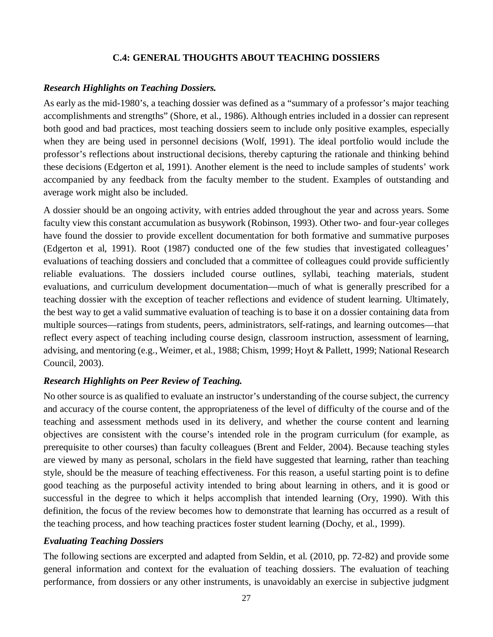#### **C.4: GENERAL THOUGHTS ABOUT TEACHING DOSSIERS**

#### *Research Highlights on Teaching Dossiers.*

As early as the mid-1980's, a teaching dossier was defined as a "summary of a professor's major teaching accomplishments and strengths" (Shore, et al., 1986). Although entries included in a dossier can represent both good and bad practices, most teaching dossiers seem to include only positive examples, especially when they are being used in personnel decisions (Wolf, 1991). The ideal portfolio would include the professor's reflections about instructional decisions, thereby capturing the rationale and thinking behind these decisions (Edgerton et al, 1991). Another element is the need to include samples of students' work accompanied by any feedback from the faculty member to the student. Examples of outstanding and average work might also be included.

A dossier should be an ongoing activity, with entries added throughout the year and across years. Some faculty view this constant accumulation as busywork (Robinson, 1993). Other two- and four-year colleges have found the dossier to provide excellent documentation for both formative and summative purposes (Edgerton et al, 1991). Root (1987) conducted one of the few studies that investigated colleagues' evaluations of teaching dossiers and concluded that a committee of colleagues could provide sufficiently reliable evaluations. The dossiers included course outlines, syllabi, teaching materials, student evaluations, and curriculum development documentation—much of what is generally prescribed for a teaching dossier with the exception of teacher reflections and evidence of student learning. Ultimately, the best way to get a valid summative evaluation of teaching is to base it on a dossier containing data from multiple sources—ratings from students, peers, administrators, self-ratings, and learning outcomes—that reflect every aspect of teaching including course design, classroom instruction, assessment of learning, advising, and mentoring (e.g., Weimer, et al., 1988; Chism, 1999; Hoyt & Pallett, 1999; National Research Council, 2003).

#### *Research Highlights on Peer Review of Teaching.*

No other source is as qualified to evaluate an instructor's understanding of the course subject, the currency and accuracy of the course content, the appropriateness of the level of difficulty of the course and of the teaching and assessment methods used in its delivery, and whether the course content and learning objectives are consistent with the course's intended role in the program curriculum (for example, as prerequisite to other courses) than faculty colleagues (Brent and Felder, 2004). Because teaching styles are viewed by many as personal, scholars in the field have suggested that learning, rather than teaching style, should be the measure of teaching effectiveness. For this reason, a useful starting point is to define good teaching as the purposeful activity intended to bring about learning in others, and it is good or successful in the degree to which it helps accomplish that intended learning (Ory, 1990). With this definition, the focus of the review becomes how to demonstrate that learning has occurred as a result of the teaching process, and how teaching practices foster student learning (Dochy, et al., 1999).

#### *Evaluating Teaching Dossiers*

The following sections are excerpted and adapted from Seldin, et al. (2010, pp. 72-82) and provide some general information and context for the evaluation of teaching dossiers. The evaluation of teaching performance, from dossiers or any other instruments, is unavoidably an exercise in subjective judgment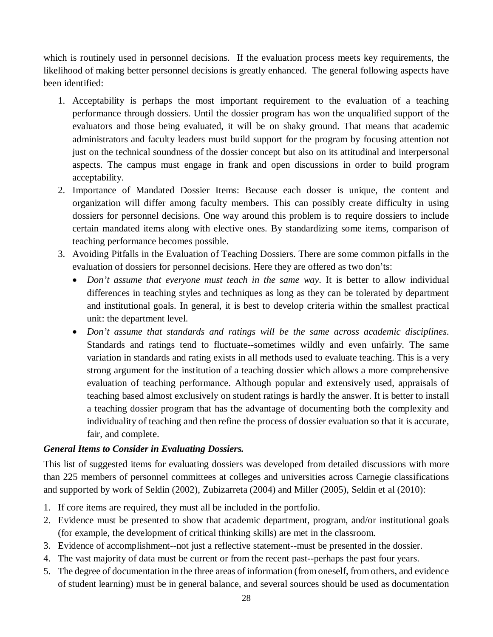which is routinely used in personnel decisions. If the evaluation process meets key requirements, the likelihood of making better personnel decisions is greatly enhanced. The general following aspects have been identified:

- 1. Acceptability is perhaps the most important requirement to the evaluation of a teaching performance through dossiers. Until the dossier program has won the unqualified support of the evaluators and those being evaluated, it will be on shaky ground. That means that academic administrators and faculty leaders must build support for the program by focusing attention not just on the technical soundness of the dossier concept but also on its attitudinal and interpersonal aspects. The campus must engage in frank and open discussions in order to build program acceptability.
- 2. Importance of Mandated Dossier Items: Because each dosser is unique, the content and organization will differ among faculty members. This can possibly create difficulty in using dossiers for personnel decisions. One way around this problem is to require dossiers to include certain mandated items along with elective ones. By standardizing some items, comparison of teaching performance becomes possible.
- 3. Avoiding Pitfalls in the Evaluation of Teaching Dossiers. There are some common pitfalls in the evaluation of dossiers for personnel decisions. Here they are offered as two don'ts:
	- *Don't assume that everyone must teach in the same way*. It is better to allow individual differences in teaching styles and techniques as long as they can be tolerated by department and institutional goals. In general, it is best to develop criteria within the smallest practical unit: the department level.
	- *Don't assume that standards and ratings will be the same across academic disciplines*. Standards and ratings tend to fluctuate--sometimes wildly and even unfairly. The same variation in standards and rating exists in all methods used to evaluate teaching. This is a very strong argument for the institution of a teaching dossier which allows a more comprehensive evaluation of teaching performance. Although popular and extensively used, appraisals of teaching based almost exclusively on student ratings is hardly the answer. It is better to install a teaching dossier program that has the advantage of documenting both the complexity and individuality of teaching and then refine the process of dossier evaluation so that it is accurate, fair, and complete.

### *General Items to Consider in Evaluating Dossiers.*

This list of suggested items for evaluating dossiers was developed from detailed discussions with more than 225 members of personnel committees at colleges and universities across Carnegie classifications and supported by work of Seldin (2002), Zubizarreta (2004) and Miller (2005), Seldin et al (2010):

- 1. If core items are required, they must all be included in the portfolio.
- 2. Evidence must be presented to show that academic department, program, and/or institutional goals (for example, the development of critical thinking skills) are met in the classroom.
- 3. Evidence of accomplishment--not just a reflective statement--must be presented in the dossier.
- 4. The vast majority of data must be current or from the recent past--perhaps the past four years.
- 5. The degree of documentation in the three areas of information (from oneself, from others, and evidence of student learning) must be in general balance, and several sources should be used as documentation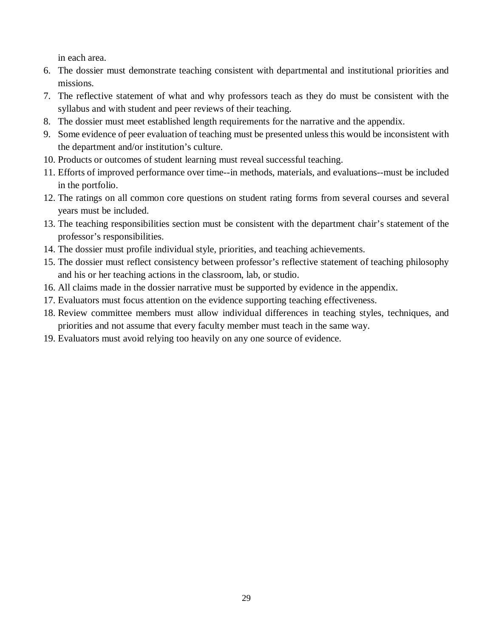in each area.

- 6. The dossier must demonstrate teaching consistent with departmental and institutional priorities and missions.
- 7. The reflective statement of what and why professors teach as they do must be consistent with the syllabus and with student and peer reviews of their teaching.
- 8. The dossier must meet established length requirements for the narrative and the appendix.
- 9. Some evidence of peer evaluation of teaching must be presented unless this would be inconsistent with the department and/or institution's culture.
- 10. Products or outcomes of student learning must reveal successful teaching.
- 11. Efforts of improved performance over time--in methods, materials, and evaluations--must be included in the portfolio.
- 12. The ratings on all common core questions on student rating forms from several courses and several years must be included.
- 13. The teaching responsibilities section must be consistent with the department chair's statement of the professor's responsibilities.
- 14. The dossier must profile individual style, priorities, and teaching achievements.
- 15. The dossier must reflect consistency between professor's reflective statement of teaching philosophy and his or her teaching actions in the classroom, lab, or studio.
- 16. All claims made in the dossier narrative must be supported by evidence in the appendix.
- 17. Evaluators must focus attention on the evidence supporting teaching effectiveness.
- 18. Review committee members must allow individual differences in teaching styles, techniques, and priorities and not assume that every faculty member must teach in the same way.
- 19. Evaluators must avoid relying too heavily on any one source of evidence.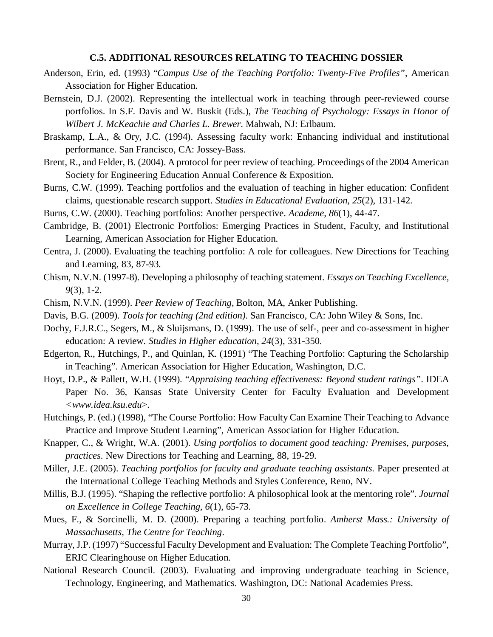#### **C.5. ADDITIONAL RESOURCES RELATING TO TEACHING DOSSIER**

- Anderson, Erin, ed. (1993) "*Campus Use of the Teaching Portfolio: Twenty-Five Profiles"*, American Association for Higher Education.
- Bernstein, D.J. (2002). Representing the intellectual work in teaching through peer-reviewed course portfolios. In S.F. Davis and W. Buskit (Eds.), *The Teaching of Psychology: Essays in Honor of Wilbert J. McKeachie and Charles L. Brewer*. Mahwah, NJ: Erlbaum.
- Braskamp, L.A., & Ory, J.C. (1994). Assessing faculty work: Enhancing individual and institutional performance. San Francisco, CA: Jossey-Bass.
- Brent, R., and Felder, B. (2004). A protocol for peer review of teaching. Proceedings of the 2004 American Society for Engineering Education Annual Conference & Exposition.
- Burns, C.W. (1999). Teaching portfolios and the evaluation of teaching in higher education: Confident claims, questionable research support. *Studies in Educational Evaluation, 25*(2), 131-142.
- Burns, C.W. (2000). Teaching portfolios: Another perspective. *Academe, 86*(1), 44-47.
- Cambridge, B. (2001) Electronic Portfolios: Emerging Practices in Student, Faculty, and Institutional Learning, American Association for Higher Education.
- Centra, J. (2000). Evaluating the teaching portfolio: A role for colleagues. New Directions for Teaching and Learning, 83, 87-93.
- Chism, N.V.N. (1997-8). Developing a philosophy of teaching statement. *Essays on Teaching Excellence, 9*(3), 1-2.
- Chism, N.V.N. (1999). *Peer Review of Teaching*, Bolton, MA, Anker Publishing.
- Davis, B.G. (2009). *Tools for teaching (2nd edition)*. San Francisco, CA: John Wiley & Sons, Inc.
- Dochy, F.J.R.C., Segers, M., & Sluijsmans, D. (1999). The use of self-, peer and co-assessment in higher education: A review. *Studies in Higher education*, *24*(3), 331-350.
- Edgerton, R., Hutchings, P., and Quinlan, K. (1991) "The Teaching Portfolio: Capturing the Scholarship in Teaching". American Association for Higher Education, Washington, D.C.
- Hoyt, D.P., & Pallett, W.H. (1999). "*Appraising teaching effectiveness: Beyond student ratings"*. IDEA Paper No. 36, Kansas State University Center for Faculty Evaluation and Development *<www.idea.ksu.edu*>.
- Hutchings, P. (ed.) (1998), "The Course Portfolio: How Faculty Can Examine Their Teaching to Advance Practice and Improve Student Learning", American Association for Higher Education.
- Knapper, C., & Wright, W.A. (2001). *Using portfolios to document good teaching: Premises, purposes, practices*. New Directions for Teaching and Learning, 88, 19-29.
- Miller, J.E. (2005). *Teaching portfolios for faculty and graduate teaching assistants*. Paper presented at the International College Teaching Methods and Styles Conference, Reno, NV.
- Millis, B.J. (1995). "Shaping the reflective portfolio: A philosophical look at the mentoring role". *Journal on Excellence in College Teaching, 6*(1), 65-73.
- Mues, F., & Sorcinelli, M. D. (2000). Preparing a teaching portfolio. *Amherst Mass.: University of Massachusetts, The Centre for Teaching*.
- Murray, J.P. (1997) "Successful Faculty Development and Evaluation: The Complete Teaching Portfolio", ERIC Clearinghouse on Higher Education.
- National Research Council. (2003). Evaluating and improving undergraduate teaching in Science, Technology, Engineering, and Mathematics. Washington, DC: National Academies Press.